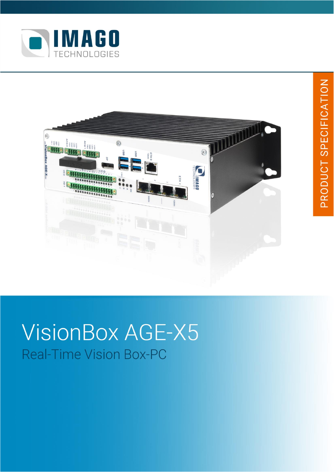



# **VisionBox AGE-X5 Real-Time Vision Box-PC**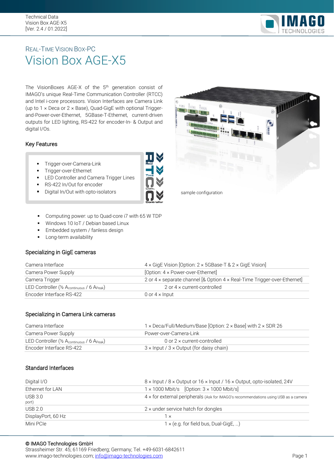

### REAL-TIME VISION BOX-PC Vision Box AGE-X5

The VisionBoxes AGE-X of the 5th generation consist of IMAGO's unique Real-Time Communication Controller (RTCC) and Intel i-core processors. Vision Interfaces are Camera Link (up to  $1 \times$  Deca or  $2 \times$  Base), Quad-GigE with optional Triggerand-Power-over-Ethernet, 5GBase-T-Ethernet, current-driven outputs for LED lighting, RS-422 for encoder-In- & Output and digital I/Os.

#### Key Features

- Trigger-over-Camera-Link
- **·** Trigger-over-Ethernet
- **LED Controller and Camera Trigger Lines**
- RS-422 In/Out for encoder
- 
- Computing power: up to Quad-core i7 with 65 W TDP
- Windows 10 IoT / Debian based Linux
- **Embedded system / fanless design**
- **•** Long-term availability

#### Specializing in GigE cameras

| Camera Interface                                      | 4 x GigE Vision [Option: 2 x 5GBase-T & 2 x GigE Vision]                 |  |
|-------------------------------------------------------|--------------------------------------------------------------------------|--|
| Camera Power Supply                                   | [Option: $4 \times$ Power-over-Ethernet]                                 |  |
| Camera Trigger                                        | 2 or 4 x separate channel [& Option 4 x Real-Time Trigger-over-Ethernet] |  |
| LED Controller ( $\frac{1}{2}$ Acontinuous / 6 Apeak) | 2 or $4 \times$ current-controlled                                       |  |
| Encoder Interface RS-422                              | 0 or $4 \times$ Input                                                    |  |

#### Specializing in Camera Link cameras

| Camera Interface                                                               | 1 x Deca/Full/Medium/Base [Option: $2 \times$ Base] with $2 \times$ SDR 26 |  |
|--------------------------------------------------------------------------------|----------------------------------------------------------------------------|--|
| Camera Power Supply                                                            | Power-over-Camera-Link                                                     |  |
| LED Controller ( $\frac{1}{2}$ A <sub>continuous</sub> / 6 A <sub>Peak</sub> ) | 0 or 2 $\times$ current-controlled                                         |  |
| Encoder Interface RS-422                                                       | $3 \times$ Input / $3 \times$ Output (for daisy chain)                     |  |

#### Standard Interfaces

| Digital I/O             | $8 \times$ Input / $8 \times$ Output or 16 $\times$ Input / 16 $\times$ Output, opto-isolated, 24V |
|-------------------------|----------------------------------------------------------------------------------------------------|
| Ethernet for LAN        | $1 \times 1000$ Mbit/s [Option: $3 \times 1000$ Mbit/s]                                            |
| <b>USB 3.0</b><br>port) | $4 \times$ for external peripherals (Ask for IMAGO's recommendations using USB as a camera         |
| <b>USB 2.0</b>          | $2 \times$ under service hatch for dongles                                                         |
| DisplayPort, 60 Hz      | Ϊ×                                                                                                 |
| Mini PCIe               | $1 \times (e.g.$ for field bus, Dual-GigE, )                                                       |

#### © IMAGO Technologies GmbH

Strassheimer Str. 45; 61169 Friedberg; Germany; Tel. +49-6031-6842611 www.imago-technologies.com[; info@imago-technologies.com](mailto:info@imago-technologies.com) example of the example of the Page 1



Digital In/Out with opto-isolators **South Accord Party Configuration**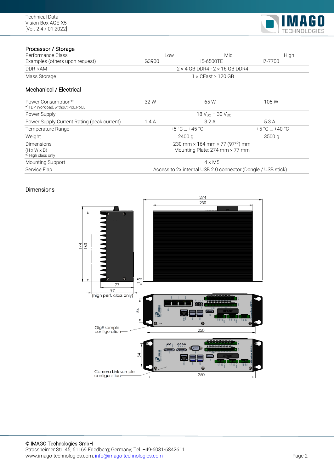

#### Processor / Storage

| Low                                                          | Mid       | High              |  |
|--------------------------------------------------------------|-----------|-------------------|--|
| G3900                                                        | i5-6500TE | i7-7700           |  |
| $2 \times 4$ GB DDR4 - $2 \times 16$ GB DDR4                 |           |                   |  |
| $1 \times$ CFast $\geq 120$ GB                               |           |                   |  |
|                                                              |           |                   |  |
| 32 W                                                         | 65W       | 105W              |  |
| 18 $V_{DC}$ – 30 $V_{DC}$                                    |           |                   |  |
| 1.4A                                                         | 3.2A      | 5.3 A             |  |
| $+5 °C$ +45 °C                                               |           | $+5 °C = +40 °C$  |  |
| 2400q                                                        |           | 3500 <sub>q</sub> |  |
| 230 mm × 164 mm × 77 (97*2) mm                               |           |                   |  |
| Mounting Plate: 274 mm × 77 mm                               |           |                   |  |
| $4 \times M5$                                                |           |                   |  |
| Access to 2x internal USB 2.0 connector (Dongle / USB stick) |           |                   |  |
|                                                              |           |                   |  |

#### Dimensions